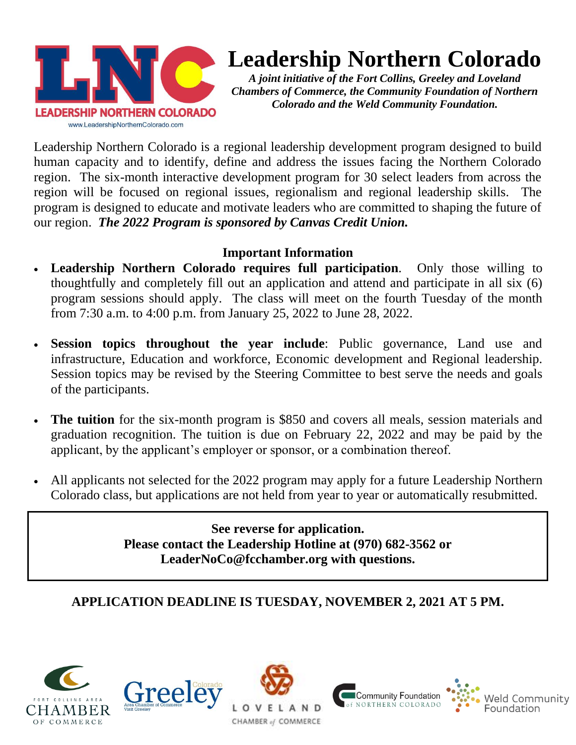

# **Leadership Northern Colorado**

*A joint initiative of the Fort Collins, Greeley and Loveland Chambers of Commerce, the Community Foundation of Northern Colorado and the Weld Community Foundation.*

Leadership Northern Colorado is a regional leadership development program designed to build human capacity and to identify, define and address the issues facing the Northern Colorado region. The six-month interactive development program for 30 select leaders from across the region will be focused on regional issues, regionalism and regional leadership skills. The program is designed to educate and motivate leaders who are committed to shaping the future of our region. *The 2022 Program is sponsored by Canvas Credit Union.*

### **Important Information**

- **Leadership Northern Colorado requires full participation**. Only those willing to thoughtfully and completely fill out an application and attend and participate in all six (6) program sessions should apply. The class will meet on the fourth Tuesday of the month from 7:30 a.m. to 4:00 p.m. from January 25, 2022 to June 28, 2022.
- **Session topics throughout the year include**: Public governance, Land use and infrastructure, Education and workforce, Economic development and Regional leadership. Session topics may be revised by the Steering Committee to best serve the needs and goals of the participants.
- **The tuition** for the six-month program is \$850 and covers all meals, session materials and graduation recognition. The tuition is due on February 22, 2022 and may be paid by the applicant, by the applicant's employer or sponsor, or a combination thereof.
- All applicants not selected for the 2022 program may apply for a future Leadership Northern Colorado class, but applications are not held from year to year or automatically resubmitted.

**See reverse for application. Please contact the Leadership Hotline at (970) 682-3562 or LeaderNoCo@fcchamber.org with questions.**

## **APPLICATION DEADLINE IS TUESDAY, NOVEMBER 2, 2021 AT 5 PM.**